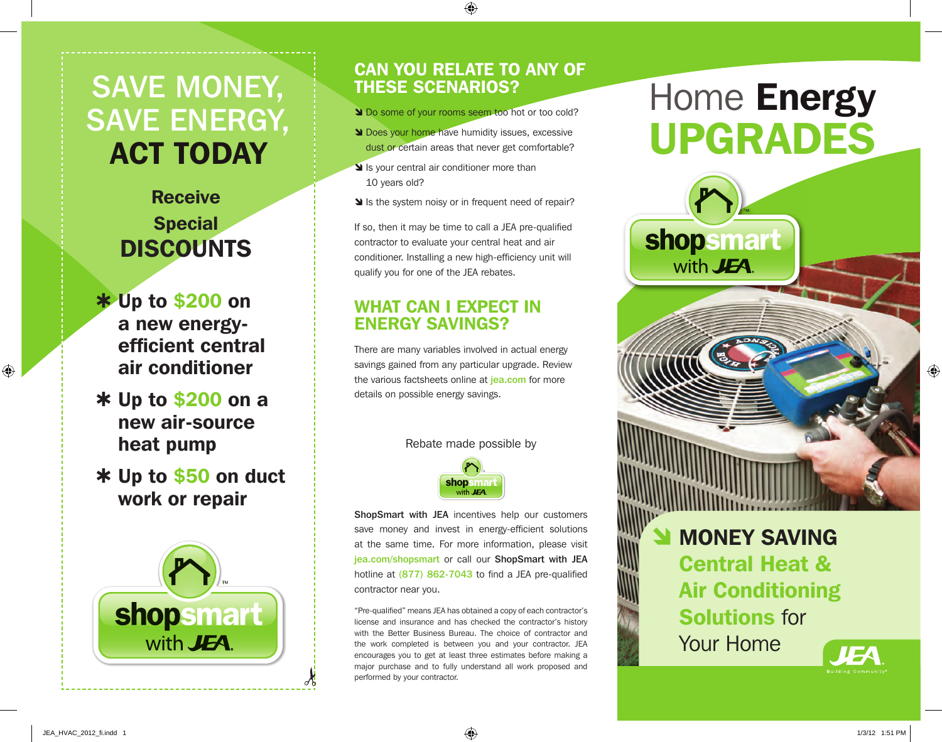## SAVE MONEY, SAVE ENERGY, ACT TODAY

### Receive Special **DISCOUNTS**

- Up to \$200 on a new energyefficient central air conditioner
- Up to \$200 on a new air-source heat pump
- Up to \$50 on duct work or repair



### CAN YOU RELATE TO ANY OF THESE SCENARIOS?

- **N** Do some of your rooms seem too hot or too cold?
- **N** Does your home have humidity issues, excessive dust or certain areas that never get comfortable?
- If Is your central air conditioner more than 10 years old?
- If Is the system noisy or in frequent need of repair?

If so, then it may be time to call a JEA pre-qualified contractor to evaluate your central heat and air conditioner. Installing a new high-efficiency unit will qualify you for one of the JEA rebates.

### WHAT CAN I EXPECT IN ENERGY SAVINGS?

There are many variables involved in actual energy savings gained from any particular upgrade. Review the various factsheets online at jea.com for more details on possible energy savings.

Rebate made possible by



ShopSmart with JEA incentives help our customers save money and invest in energy-efficient solutions at the same time. For more information, please visit jea.com/shopsmart or call our ShopSmart with JEA hotline at  $(877)$  862-7043 to find a JEA pre-qualified contractor near you.

"Pre-qualified" means JEA has obtained a copy of each contractor's license and insurance and has checked the contractor's history with the Better Business Bureau. The choice of contractor and the work completed is between you and your contractor. JEA encourages you to get at least three estimates before making a major purchase and to fully understand all work proposed and performed by your contractor.

# Home **Energy** UPGRADES

shopsmart

with **JEA**